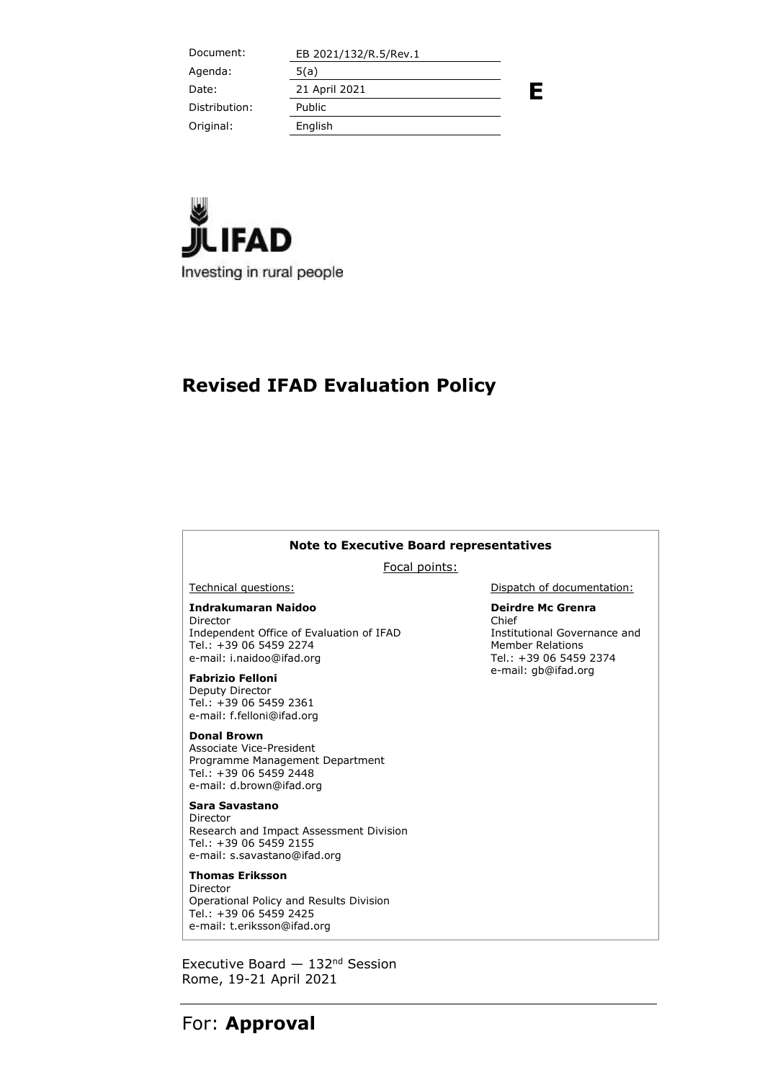Document: EB 2021/132/R.5/Rev.1 **E** Agenda: 5(a) Date: 21 April 2021 Distribution: Public Original: English



# **Revised IFAD Evaluation Policy**

#### **Note to Executive Board representatives**

Focal points:

**Indrakumaran Naidoo** Director Independent Office of Evaluation of IFAD Tel.: +39 06 5459 2274 e-mail: i.naidoo@ifad.org

**Fabrizio Felloni** Deputy Director Tel.: +39 06 5459 2361 e-mail: f.felloni@ifad.org

**Donal Brown** Associate Vice-President Programme Management Department Tel.: +39 06 5459 2448 e-mail: d.brown@ifad.org

**Sara Savastano** Director Research and Impact Assessment Division Tel.: +39 06 5459 2155 e-mail: s.savastano@ifad.org

**Thomas Eriksson** Director Operational Policy and Results Division Tel.: +39 06 5459 2425 e-mail: t.eriksson@ifad.org

Executive Board  $-132<sup>nd</sup>$  Session Rome, 19-21 April 2021

Technical questions: Dispatch of documentation:

**Deirdre Mc Grenra** Chief Institutional Governance and Member Relations Tel.: +39 06 5459 2374 e-mail: gb@ifad.org

## For: **Approval**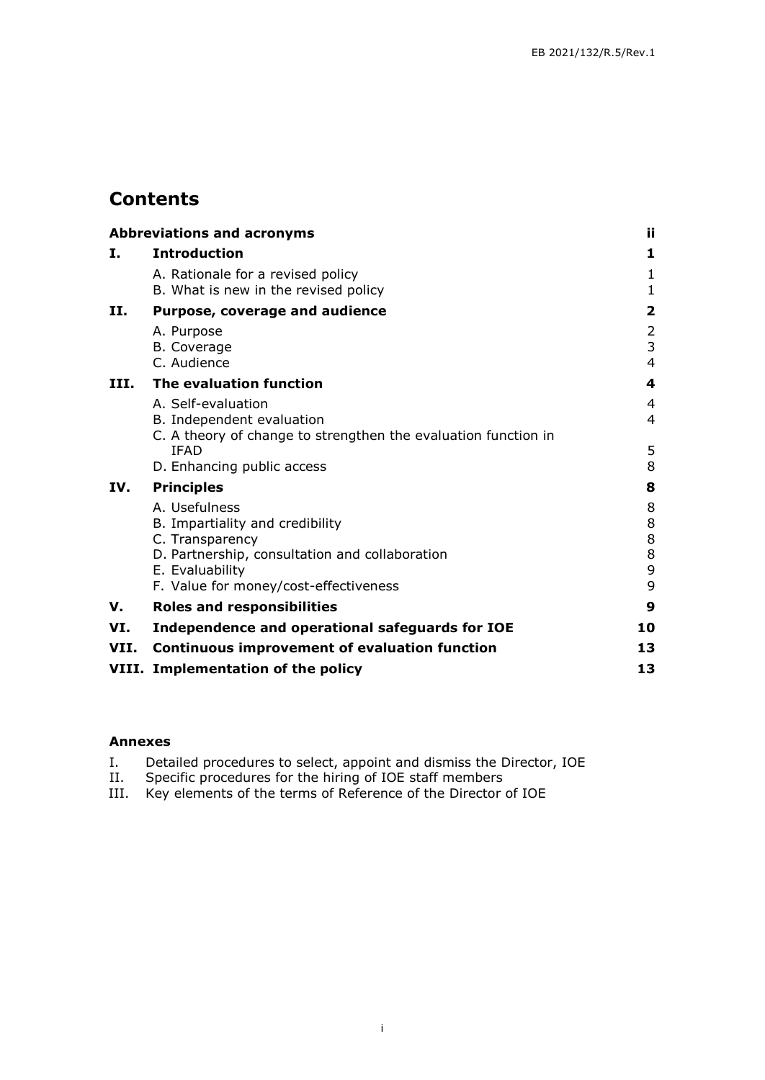# **Contents**

|      | <b>Abbreviations and acronyms</b>                                                                                     | ii.                          |
|------|-----------------------------------------------------------------------------------------------------------------------|------------------------------|
| Ι.   | <b>Introduction</b>                                                                                                   | 1                            |
|      | A. Rationale for a revised policy<br>B. What is new in the revised policy                                             | $\mathbf{1}$<br>$\mathbf{1}$ |
| Н.   | Purpose, coverage and audience                                                                                        | 2                            |
|      | A. Purpose<br>B. Coverage<br>C. Audience                                                                              | 2<br>3<br>$\overline{4}$     |
| III. | The evaluation function                                                                                               | 4                            |
|      | A. Self-evaluation<br>B. Independent evaluation                                                                       | 4<br>4                       |
|      | C. A theory of change to strengthen the evaluation function in<br><b>IFAD</b><br>D. Enhancing public access           | 5<br>8                       |
| IV.  | <b>Principles</b>                                                                                                     | 8                            |
|      | A. Usefulness<br>B. Impartiality and credibility<br>C. Transparency<br>D. Partnership, consultation and collaboration | 8<br>8<br>8<br>8             |
|      | E. Evaluability<br>F. Value for money/cost-effectiveness                                                              | 9<br>9                       |
| v.   | <b>Roles and responsibilities</b>                                                                                     | 9                            |
| VI.  | Independence and operational safeguards for IOE                                                                       | 10                           |
| VII. | <b>Continuous improvement of evaluation function</b>                                                                  | 13                           |
|      | VIII. Implementation of the policy                                                                                    | 13                           |

#### **Annexes**

- I. Detailed procedures to select, appoint and dismiss the Director, IOE
- II. Specific procedures for the hiring of IOE staff members
- III. Key elements of the terms of Reference of the Director of IOE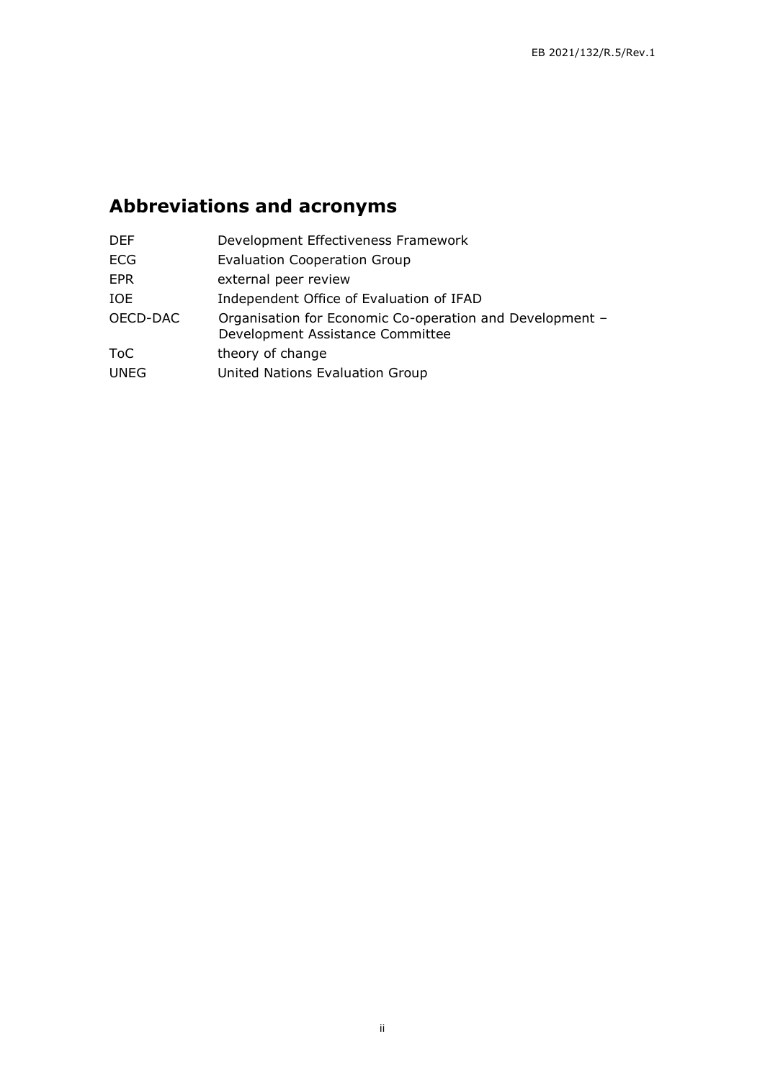# <span id="page-2-0"></span>**Abbreviations and acronyms**

| <b>DEF</b>  | Development Effectiveness Framework                                                          |
|-------------|----------------------------------------------------------------------------------------------|
| <b>ECG</b>  | <b>Evaluation Cooperation Group</b>                                                          |
| <b>EPR</b>  | external peer review                                                                         |
| IOE         | Independent Office of Evaluation of IFAD                                                     |
| OECD-DAC    | Organisation for Economic Co-operation and Development -<br>Development Assistance Committee |
| ToC         | theory of change                                                                             |
| <b>UNEG</b> | United Nations Evaluation Group                                                              |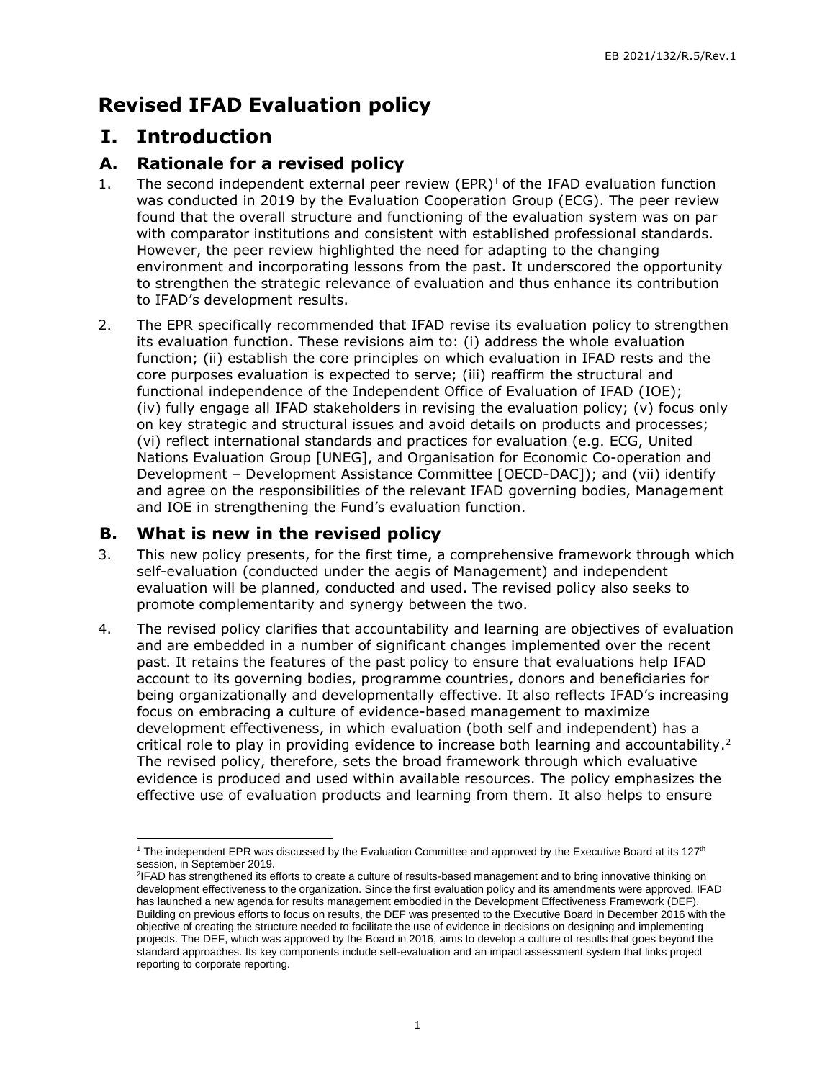# **Revised IFAD Evaluation policy**

## **I. Introduction**

#### **A. Rationale for a revised policy**

- <span id="page-3-1"></span><span id="page-3-0"></span>1. The second independent external peer review (EPR) $1$  of the IFAD evaluation function was conducted in 2019 by the Evaluation Cooperation Group (ECG). The peer review found that the overall structure and functioning of the evaluation system was on par with comparator institutions and consistent with established professional standards. However, the peer review highlighted the need for adapting to the changing environment and incorporating lessons from the past. It underscored the opportunity to strengthen the strategic relevance of evaluation and thus enhance its contribution to IFAD's development results.
- 2. The EPR specifically recommended that IFAD revise its evaluation policy to strengthen its evaluation function. These revisions aim to: (i) address the whole evaluation function; (ii) establish the core principles on which evaluation in IFAD rests and the core purposes evaluation is expected to serve; (iii) reaffirm the structural and functional independence of the Independent Office of Evaluation of IFAD (IOE); (iv) fully engage all IFAD stakeholders in revising the evaluation policy; (v) focus only on key strategic and structural issues and avoid details on products and processes; (vi) reflect international standards and practices for evaluation (e.g. ECG, United Nations Evaluation Group [UNEG], and Organisation for Economic Co-operation and Development – Development Assistance Committee [OECD-DAC]); and (vii) identify and agree on the responsibilities of the relevant IFAD governing bodies, Management and IOE in strengthening the Fund's evaluation function.

#### **B. What is new in the revised policy**

- 3. This new policy presents, for the first time, a comprehensive framework through which self-evaluation (conducted under the aegis of Management) and independent evaluation will be planned, conducted and used. The revised policy also seeks to promote complementarity and synergy between the two.
- <span id="page-3-2"></span>4. The revised policy clarifies that accountability and learning are objectives of evaluation and are embedded in a number of significant changes implemented over the recent past. It retains the features of the past policy to ensure that evaluations help IFAD account to its governing bodies, programme countries, donors and beneficiaries for being organizationally and developmentally effective. It also reflects IFAD's increasing focus on embracing a culture of evidence-based management to maximize development effectiveness, in which evaluation (both self and independent) has a critical role to play in providing evidence to increase both learning and accountability.<sup>2</sup> The revised policy, therefore, sets the broad framework through which evaluative evidence is produced and used within available resources. The policy emphasizes the effective use of evaluation products and learning from them. It also helps to ensure

<sup>-</sup><sup>1</sup> The independent EPR was discussed by the Evaluation Committee and approved by the Executive Board at its 127<sup>th</sup> session, in September 2019.

<sup>2</sup> IFAD has strengthened its efforts to create a culture of results-based management and to bring innovative thinking on development effectiveness to the organization. Since the first evaluation policy and its amendments were approved, IFAD has launched a new agenda for results management embodied in the Development Effectiveness Framework (DEF). Building on previous efforts to focus on results, the DEF was presented to the Executive Board in December 2016 with the objective of creating the structure needed to facilitate the use of evidence in decisions on designing and implementing projects. The DEF, which was approved by the Board in 2016, aims to develop a culture of results that goes beyond the standard approaches. Its key components include self-evaluation and an impact assessment system that links project reporting to corporate reporting.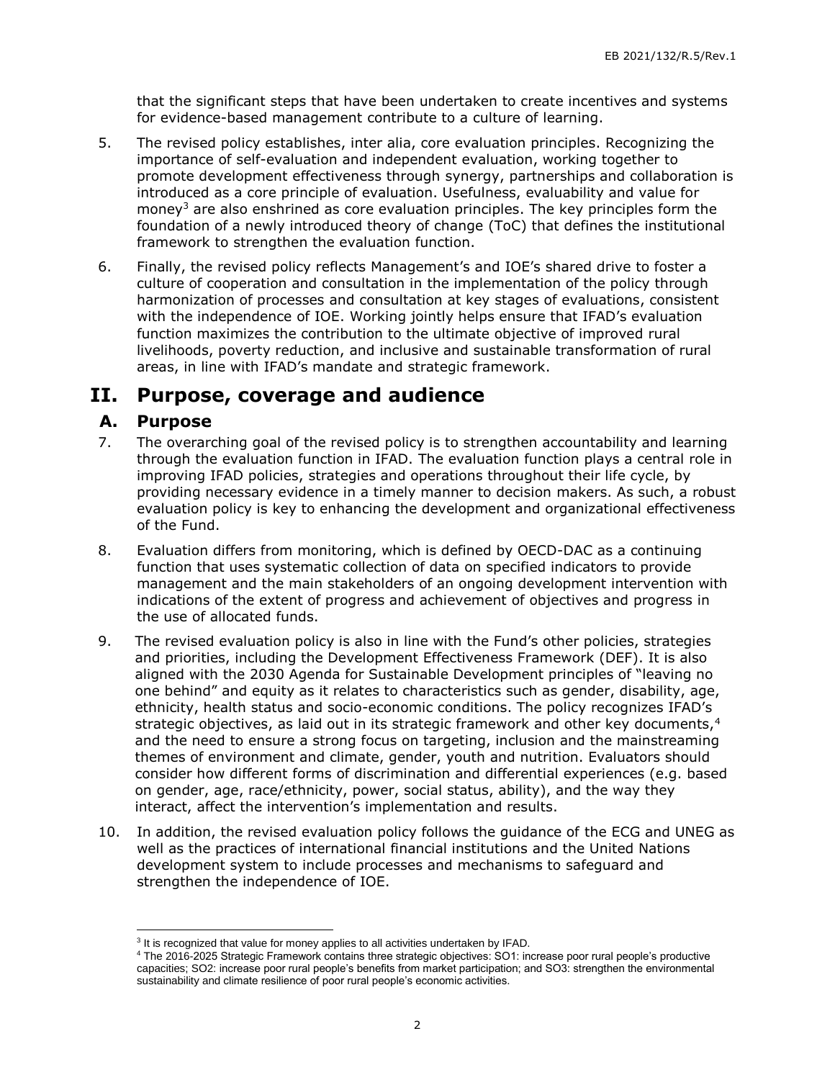that the significant steps that have been undertaken to create incentives and systems for evidence-based management contribute to a culture of learning.

- 5. The revised policy establishes, inter alia, core evaluation principles. Recognizing the importance of self-evaluation and independent evaluation, working together to promote development effectiveness through synergy, partnerships and collaboration is introduced as a core principle of evaluation. Usefulness, evaluability and value for money<sup>3</sup> are also enshrined as core evaluation principles. The key principles form the foundation of a newly introduced theory of change (ToC) that defines the institutional framework to strengthen the evaluation function.
- 6. Finally, the revised policy reflects Management's and IOE's shared drive to foster a culture of cooperation and consultation in the implementation of the policy through harmonization of processes and consultation at key stages of evaluations, consistent with the independence of IOE. Working jointly helps ensure that IFAD's evaluation function maximizes the contribution to the ultimate objective of improved rural livelihoods, poverty reduction, and inclusive and sustainable transformation of rural areas, in line with IFAD's mandate and strategic framework.

## **II. Purpose, coverage and audience**

#### **A. Purpose**

- <span id="page-4-1"></span><span id="page-4-0"></span>7. The overarching goal of the revised policy is to strengthen accountability and learning through the evaluation function in IFAD. The evaluation function plays a central role in improving IFAD policies, strategies and operations throughout their life cycle, by providing necessary evidence in a timely manner to decision makers. As such, a robust evaluation policy is key to enhancing the development and organizational effectiveness of the Fund.
- 8. Evaluation differs from monitoring, which is defined by OECD-DAC as a continuing function that uses systematic collection of data on specified indicators to provide management and the main stakeholders of an ongoing development intervention with indications of the extent of progress and achievement of objectives and progress in the use of allocated funds.
- 9. The revised evaluation policy is also in line with the Fund's other policies, strategies and priorities, including the Development Effectiveness Framework (DEF). It is also aligned with the 2030 Agenda for Sustainable Development principles of "leaving no one behind" and equity as it relates to characteristics such as gender, disability, age, ethnicity, health status and socio-economic conditions. The policy recognizes IFAD's strategic objectives, as laid out in its strategic framework and other key documents, $4$ and the need to ensure a strong focus on targeting, inclusion and the mainstreaming themes of environment and climate, gender, youth and nutrition. Evaluators should consider how different forms of discrimination and differential experiences (e.g. based on gender, age, race/ethnicity, power, social status, ability), and the way they interact, affect the intervention's implementation and results.
- 10. In addition, the revised evaluation policy follows the guidance of the ECG and UNEG as well as the practices of international financial institutions and the United Nations development system to include processes and mechanisms to safeguard and strengthen the independence of IOE.

  $3$  It is recognized that value for money applies to all activities undertaken by IFAD.

<sup>4</sup> The 2016-2025 Strategic Framework contains three strategic objectives: SO1: increase poor rural people's productive capacities; SO2: increase poor rural people's benefits from market participation; and SO3: strengthen the environmental sustainability and climate resilience of poor rural people's economic activities.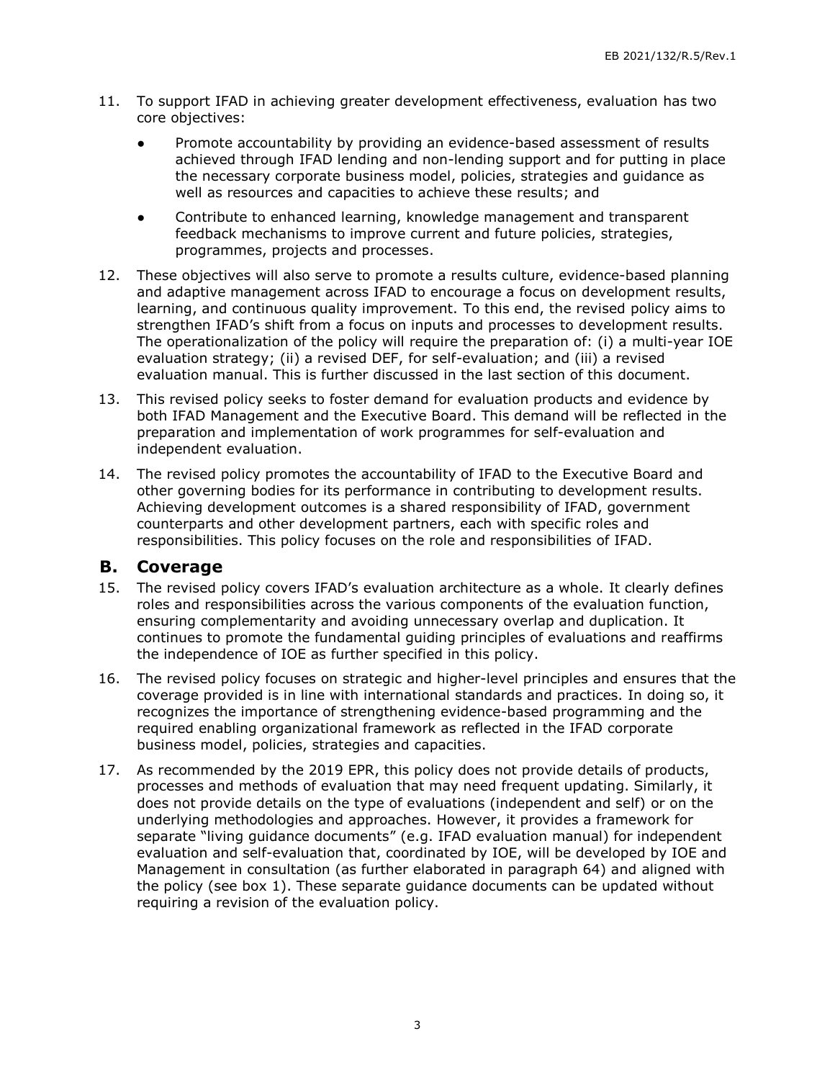- 11. To support IFAD in achieving greater development effectiveness, evaluation has two core objectives:
	- Promote accountability by providing an evidence-based assessment of results achieved through IFAD lending and non-lending support and for putting in place the necessary corporate business model, policies, strategies and guidance as well as resources and capacities to achieve these results; and
	- Contribute to enhanced learning, knowledge management and transparent feedback mechanisms to improve current and future policies, strategies, programmes, projects and processes.
- 12. These objectives will also serve to promote a results culture, evidence-based planning and adaptive management across IFAD to encourage a focus on development results, learning, and continuous quality improvement. To this end, the revised policy aims to strengthen IFAD's shift from a focus on inputs and processes to development results. The operationalization of the policy will require the preparation of: (i) a multi-year IOE evaluation strategy; (ii) a revised DEF, for self-evaluation; and (iii) a revised evaluation manual. This is further discussed in the last section of this document.
- 13. This revised policy seeks to foster demand for evaluation products and evidence by both IFAD Management and the Executive Board. This demand will be reflected in the preparation and implementation of work programmes for self-evaluation and independent evaluation.
- 14. The revised policy promotes the accountability of IFAD to the Executive Board and other governing bodies for its performance in contributing to development results. Achieving development outcomes is a shared responsibility of IFAD, government counterparts and other development partners, each with specific roles and responsibilities. This policy focuses on the role and responsibilities of IFAD.

#### **B. Coverage**

- <span id="page-5-0"></span>15. The revised policy covers IFAD's evaluation architecture as a whole. It clearly defines roles and responsibilities across the various components of the evaluation function, ensuring complementarity and avoiding unnecessary overlap and duplication. It continues to promote the fundamental guiding principles of evaluations and reaffirms the independence of IOE as further specified in this policy.
- 16. The revised policy focuses on strategic and higher-level principles and ensures that the coverage provided is in line with international standards and practices. In doing so, it recognizes the importance of strengthening evidence-based programming and the required enabling organizational framework as reflected in the IFAD corporate business model, policies, strategies and capacities.
- 17. As recommended by the 2019 EPR, this policy does not provide details of products, processes and methods of evaluation that may need frequent updating. Similarly, it does not provide details on the type of evaluations (independent and self) or on the underlying methodologies and approaches. However, it provides a framework for separate "living guidance documents" (e.g. IFAD evaluation manual) for independent evaluation and self-evaluation that, coordinated by IOE, will be developed by IOE and Management in consultation (as further elaborated in paragraph 64) and aligned with the policy (see box 1). These separate guidance documents can be updated without requiring a revision of the evaluation policy.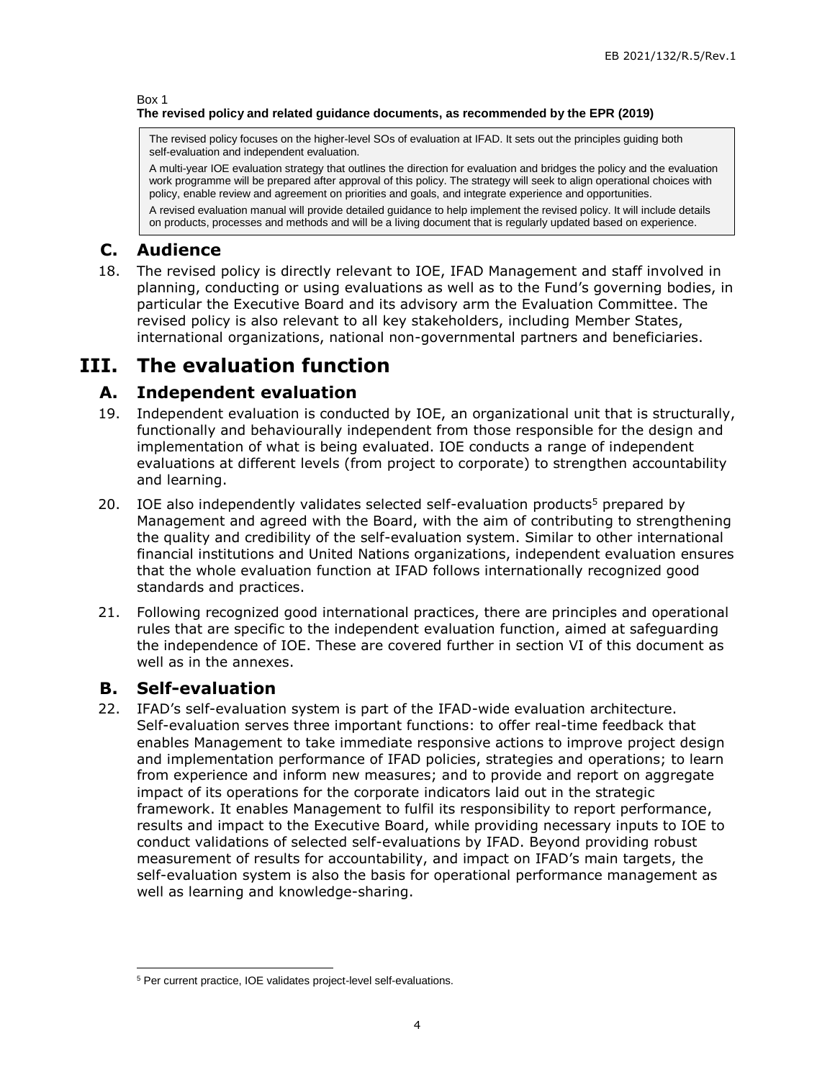#### Box 1 **The revised policy and related guidance documents, as recommended by the EPR (2019)**

The revised policy focuses on the higher-level SOs of evaluation at IFAD. It sets out the principles guiding both self-evaluation and independent evaluation.

A multi-year IOE evaluation strategy that outlines the direction for evaluation and bridges the policy and the evaluation work programme will be prepared after approval of this policy. The strategy will seek to align operational choices with policy, enable review and agreement on priorities and goals, and integrate experience and opportunities.

A revised evaluation manual will provide detailed guidance to help implement the revised policy. It will include details on products, processes and methods and will be a living document that is regularly updated based on experience.

## **C. Audience**

<span id="page-6-0"></span>18. The revised policy is directly relevant to IOE, IFAD Management and staff involved in planning, conducting or using evaluations as well as to the Fund's governing bodies, in particular the Executive Board and its advisory arm the Evaluation Committee. The revised policy is also relevant to all key stakeholders, including Member States, international organizations, national non-governmental partners and beneficiaries.

# **III. The evaluation function**

## **A. Independent evaluation**

- <span id="page-6-1"></span>19. Independent evaluation is conducted by IOE, an organizational unit that is structurally, functionally and behaviourally independent from those responsible for the design and implementation of what is being evaluated. IOE conducts a range of independent evaluations at different levels (from project to corporate) to strengthen accountability and learning.
- <span id="page-6-2"></span>20. IOE also independently validates selected self-evaluation products<sup>5</sup> prepared by Management and agreed with the Board, with the aim of contributing to strengthening the quality and credibility of the self-evaluation system. Similar to other international financial institutions and United Nations organizations, independent evaluation ensures that the whole evaluation function at IFAD follows internationally recognized good standards and practices.
- 21. Following recognized good international practices, there are principles and operational rules that are specific to the independent evaluation function, aimed at safeguarding the independence of IOE. These are covered further in section VI of this document as well as in the annexes.

#### **B. Self-evaluation**

<span id="page-6-3"></span>22. IFAD's self-evaluation system is part of the IFAD-wide evaluation architecture. Self-evaluation serves three important functions: to offer real-time feedback that enables Management to take immediate responsive actions to improve project design and implementation performance of IFAD policies, strategies and operations; to learn from experience and inform new measures; and to provide and report on aggregate impact of its operations for the corporate indicators laid out in the strategic framework. It enables Management to fulfil its responsibility to report performance, results and impact to the Executive Board, while providing necessary inputs to IOE to conduct validations of selected self-evaluations by IFAD. Beyond providing robust measurement of results for accountability, and impact on IFAD's main targets, the self-evaluation system is also the basis for operational performance management as well as learning and knowledge-sharing.

 $\overline{a}$ <sup>5</sup> Per current practice, IOE validates project-level self-evaluations.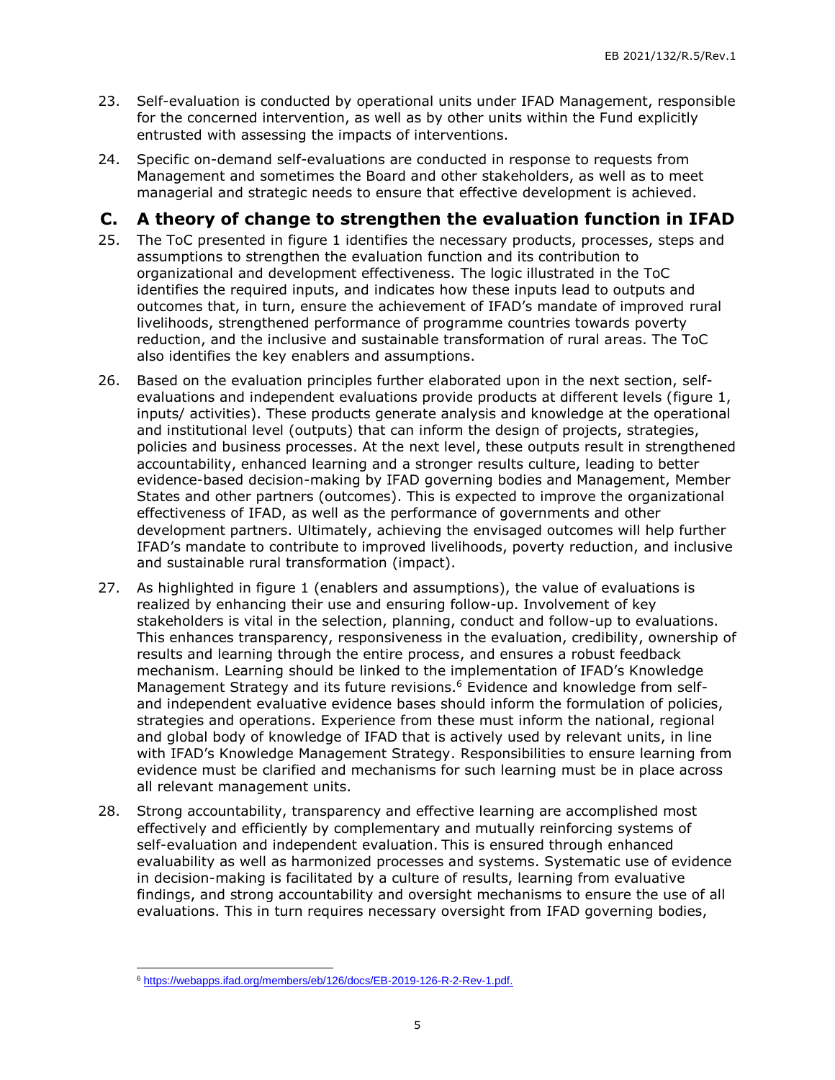- 23. Self-evaluation is conducted by operational units under IFAD Management, responsible for the concerned intervention, as well as by other units within the Fund explicitly entrusted with assessing the impacts of interventions.
- 24. Specific on-demand self-evaluations are conducted in response to requests from Management and sometimes the Board and other stakeholders, as well as to meet managerial and strategic needs to ensure that effective development is achieved.

#### **C. A theory of change to strengthen the evaluation function in IFAD**

- <span id="page-7-0"></span>25. The ToC presented in figure 1 identifies the necessary products, processes, steps and assumptions to strengthen the evaluation function and its contribution to organizational and development effectiveness. The logic illustrated in the ToC identifies the required inputs, and indicates how these inputs lead to outputs and outcomes that, in turn, ensure the achievement of IFAD's mandate of improved rural livelihoods, strengthened performance of programme countries towards poverty reduction, and the inclusive and sustainable transformation of rural areas. The ToC also identifies the key enablers and assumptions.
- 26. Based on the evaluation principles further elaborated upon in the next section, selfevaluations and independent evaluations provide products at different levels (figure 1, inputs/ activities). These products generate analysis and knowledge at the operational and institutional level (outputs) that can inform the design of projects, strategies, policies and business processes. At the next level, these outputs result in strengthened accountability, enhanced learning and a stronger results culture, leading to better evidence-based decision-making by IFAD governing bodies and Management, Member States and other partners (outcomes). This is expected to improve the organizational effectiveness of IFAD, as well as the performance of governments and other development partners. Ultimately, achieving the envisaged outcomes will help further IFAD's mandate to contribute to improved livelihoods, poverty reduction, and inclusive and sustainable rural transformation (impact).
- 27. As highlighted in figure 1 (enablers and assumptions), the value of evaluations is realized by enhancing their use and ensuring follow-up. Involvement of key stakeholders is vital in the selection, planning, conduct and follow-up to evaluations. This enhances transparency, responsiveness in the evaluation, credibility, ownership of results and learning through the entire process, and ensures a robust feedback mechanism. Learning should be linked to the implementation of IFAD's Knowledge Management Strategy and its future revisions. <sup>6</sup> Evidence and knowledge from selfand independent evaluative evidence bases should inform the formulation of policies, strategies and operations. Experience from these must inform the national, regional and global body of knowledge of IFAD that is actively used by relevant units, in line with IFAD's Knowledge Management Strategy. Responsibilities to ensure learning from evidence must be clarified and mechanisms for such learning must be in place across all relevant management units.
- 28. Strong accountability, transparency and effective learning are accomplished most effectively and efficiently by complementary and mutually reinforcing systems of self-evaluation and independent evaluation. This is ensured through enhanced evaluability as well as harmonized processes and systems. Systematic use of evidence in decision-making is facilitated by a culture of results, learning from evaluative findings, and strong accountability and oversight mechanisms to ensure the use of all evaluations. This in turn requires necessary oversight from IFAD governing bodies,

 $\overline{a}$ <sup>6</sup> [https://webapps.ifad.org/members/eb/126/docs/EB-2019-126-R-2-Rev-1.pdf.](https://webapps.ifad.org/members/eb/126/docs/EB-2019-126-R-2-Rev-1.pdf)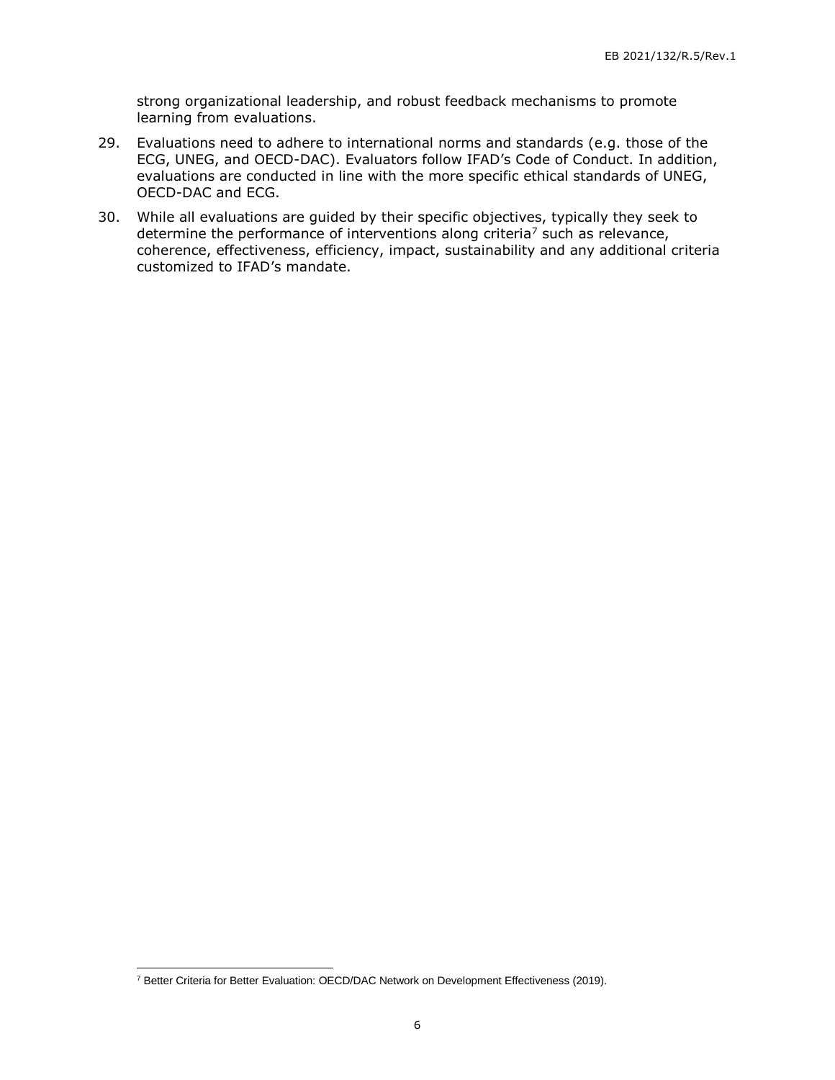strong organizational leadership, and robust feedback mechanisms to promote learning from evaluations.

- 29. Evaluations need to adhere to international norms and standards (e.g. those of the ECG, UNEG, and OECD-DAC). Evaluators follow IFAD's Code of Conduct. In addition, evaluations are conducted in line with the more specific ethical standards of UNEG, OECD-DAC and ECG.
- 30. While all evaluations are guided by their specific objectives, typically they seek to determine the performance of interventions along criteria<sup>7</sup> such as relevance, coherence, effectiveness, efficiency, impact, sustainability and any additional criteria customized to IFAD's mandate.

 $\overline{a}$ 

<sup>7</sup> Better Criteria for Better Evaluation: OECD/DAC Network on Development Effectiveness (2019).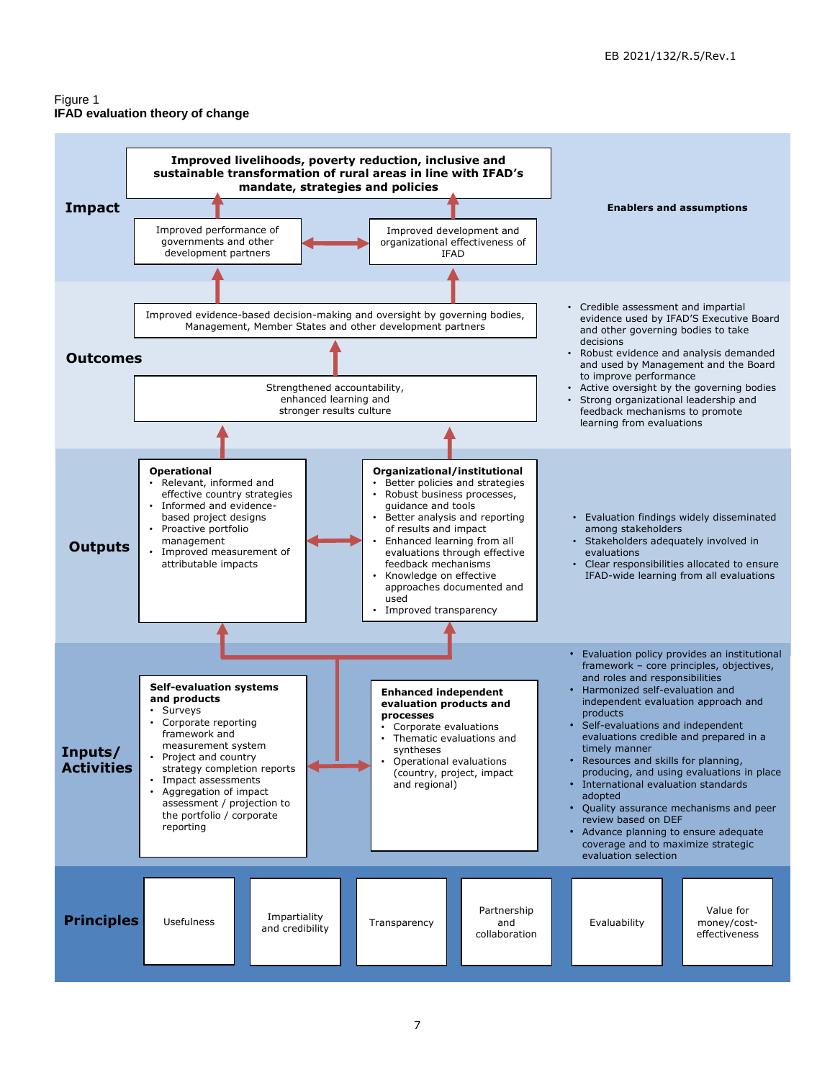#### Figure 1 **IFAD evaluation theory of change**

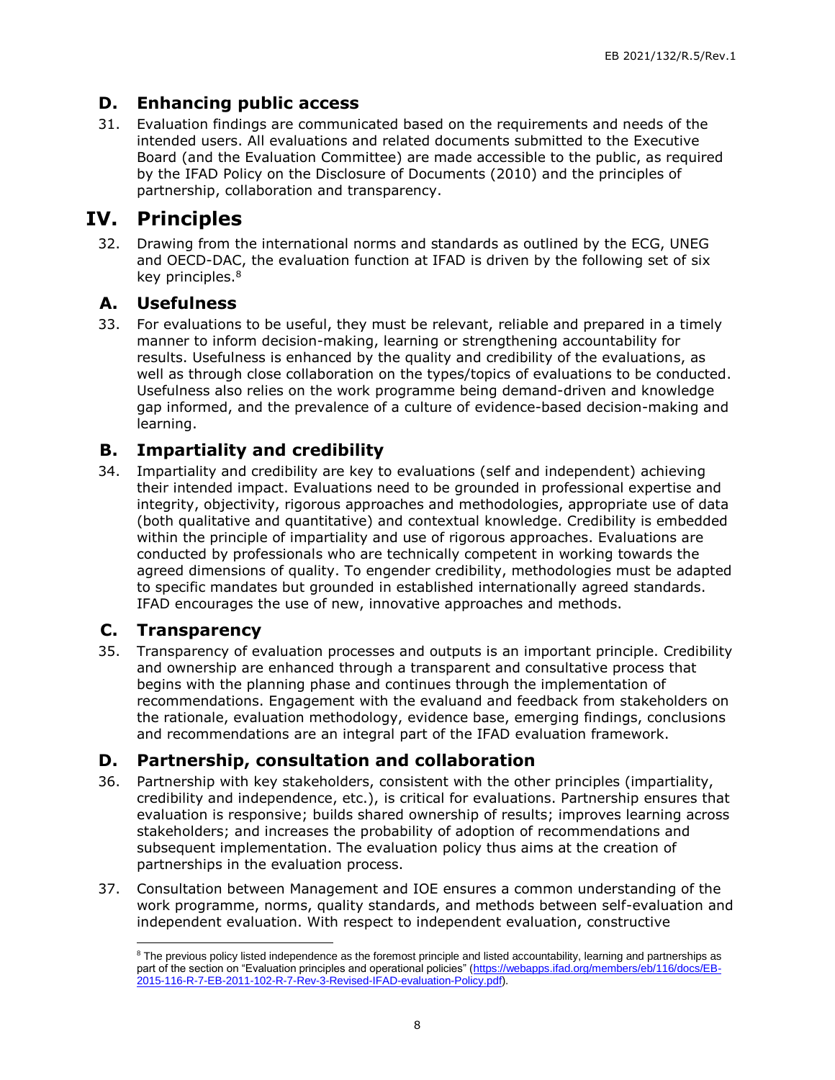## **D. Enhancing public access**

<span id="page-10-0"></span>31. Evaluation findings are communicated based on the requirements and needs of the intended users. All evaluations and related documents submitted to the Executive Board (and the Evaluation Committee) are made accessible to the public, as required by the IFAD Policy on the Disclosure of Documents (2010) and the principles of partnership, collaboration and transparency.

## **IV. Principles**

32. Drawing from the international norms and standards as outlined by the ECG, UNEG and OECD-DAC, the evaluation function at IFAD is driven by the following set of six key principles.<sup>8</sup>

#### <span id="page-10-1"></span>**A. Usefulness**

<span id="page-10-2"></span>33. For evaluations to be useful, they must be relevant, reliable and prepared in a timely manner to inform decision-making, learning or strengthening accountability for results. Usefulness is enhanced by the quality and credibility of the evaluations, as well as through close collaboration on the types/topics of evaluations to be conducted. Usefulness also relies on the work programme being demand-driven and knowledge gap informed, and the prevalence of a culture of evidence-based decision-making and learning.

## **B. Impartiality and credibility**

<span id="page-10-3"></span>34. Impartiality and credibility are key to evaluations (self and independent) achieving their intended impact. Evaluations need to be grounded in professional expertise and integrity, objectivity, rigorous approaches and methodologies, appropriate use of data (both qualitative and quantitative) and contextual knowledge. Credibility is embedded within the principle of impartiality and use of rigorous approaches. Evaluations are conducted by professionals who are technically competent in working towards the agreed dimensions of quality. To engender credibility, methodologies must be adapted to specific mandates but grounded in established internationally agreed standards. IFAD encourages the use of new, innovative approaches and methods.

#### **C. Transparency**

<span id="page-10-4"></span>35. Transparency of evaluation processes and outputs is an important principle. Credibility and ownership are enhanced through a transparent and consultative process that begins with the planning phase and continues through the implementation of recommendations. Engagement with the evaluand and feedback from stakeholders on the rationale, evaluation methodology, evidence base, emerging findings, conclusions and recommendations are an integral part of the IFAD evaluation framework.

#### **D. Partnership, consultation and collaboration**

- <span id="page-10-5"></span>36. Partnership with key stakeholders, consistent with the other principles (impartiality, credibility and independence, etc.), is critical for evaluations. Partnership ensures that evaluation is responsive; builds shared ownership of results; improves learning across stakeholders; and increases the probability of adoption of recommendations and subsequent implementation. The evaluation policy thus aims at the creation of partnerships in the evaluation process.
- 37. Consultation between Management and IOE ensures a common understanding of the work programme, norms, quality standards, and methods between self-evaluation and independent evaluation. With respect to independent evaluation, constructive

 $\overline{a}$ <sup>8</sup> The previous policy listed independence as the foremost principle and listed accountability, learning and partnerships as part of the section on "Evaluation principles and operational policies" [\(https://webapps.ifad.org/members/eb/116/docs/EB-](https://webapps.ifad.org/members/eb/116/docs/EB-2015-116-R-7-EB-2011-102-R-7-Rev-3-Revised-IFAD-evaluation-Policy.pdf)[2015-116-R-7-EB-2011-102-R-7-Rev-3-Revised-IFAD-evaluation-Policy.pdf\)](https://webapps.ifad.org/members/eb/116/docs/EB-2015-116-R-7-EB-2011-102-R-7-Rev-3-Revised-IFAD-evaluation-Policy.pdf).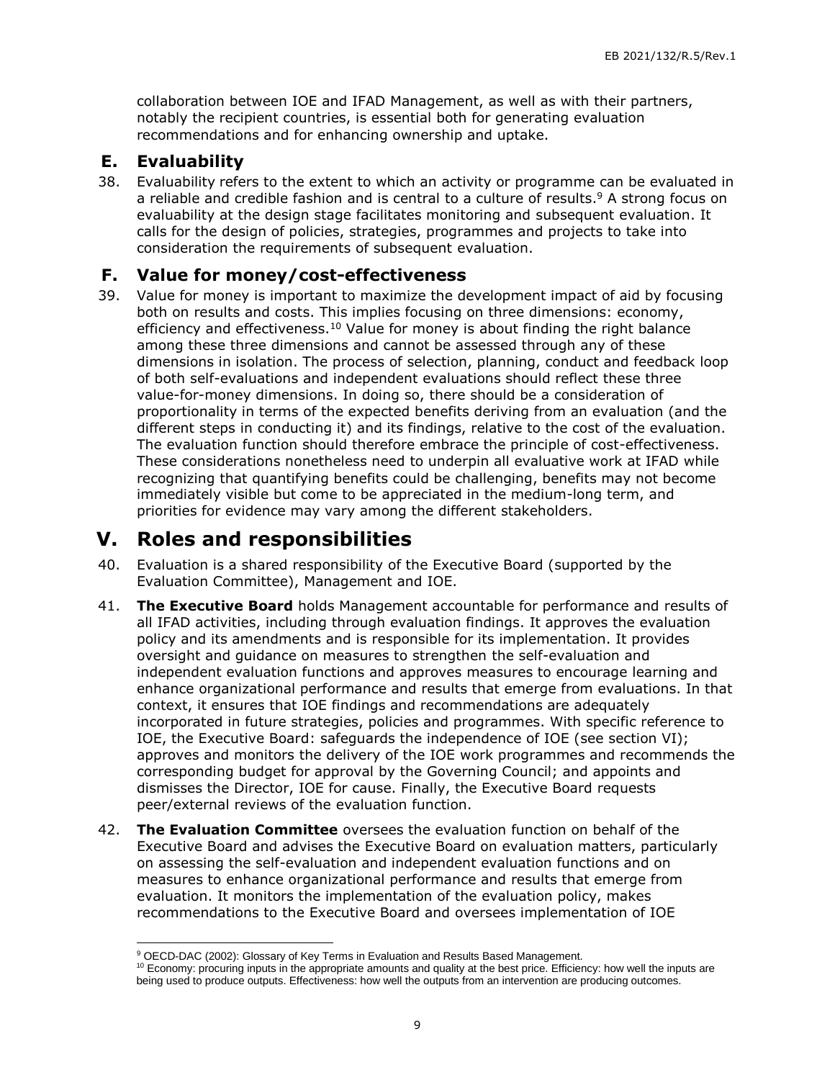collaboration between IOE and IFAD Management, as well as with their partners, notably the recipient countries, is essential both for generating evaluation recommendations and for enhancing ownership and uptake.

#### **E. Evaluability**

<span id="page-11-0"></span>38. Evaluability refers to the extent to which an activity or programme can be evaluated in a reliable and credible fashion and is central to a culture of results. <sup>9</sup> A strong focus on evaluability at the design stage facilitates monitoring and subsequent evaluation. It calls for the design of policies, strategies, programmes and projects to take into consideration the requirements of subsequent evaluation.

#### **F. Value for money/cost-effectiveness**

<span id="page-11-1"></span>39. Value for money is important to maximize the development impact of aid by focusing both on results and costs. This implies focusing on three dimensions: economy, efficiency and effectiveness.<sup>10</sup> Value for money is about finding the right balance among these three dimensions and cannot be assessed through any of these dimensions in isolation. The process of selection, planning, conduct and feedback loop of both self-evaluations and independent evaluations should reflect these three value-for-money dimensions. In doing so, there should be a consideration of proportionality in terms of the expected benefits deriving from an evaluation (and the different steps in conducting it) and its findings, relative to the cost of the evaluation. The evaluation function should therefore embrace the principle of cost-effectiveness. These considerations nonetheless need to underpin all evaluative work at IFAD while recognizing that quantifying benefits could be challenging, benefits may not become immediately visible but come to be appreciated in the medium-long term, and priorities for evidence may vary among the different stakeholders.

## **V. Roles and responsibilities**

- 40. Evaluation is a shared responsibility of the Executive Board (supported by the Evaluation Committee), Management and IOE.
- <span id="page-11-2"></span>41. **The Executive Board** holds Management accountable for performance and results of all IFAD activities, including through evaluation findings. It approves the evaluation policy and its amendments and is responsible for its implementation. It provides oversight and guidance on measures to strengthen the self-evaluation and independent evaluation functions and approves measures to encourage learning and enhance organizational performance and results that emerge from evaluations. In that context, it ensures that IOE findings and recommendations are adequately incorporated in future strategies, policies and programmes. With specific reference to IOE, the Executive Board: safeguards the independence of IOE (see section VI); approves and monitors the delivery of the IOE work programmes and recommends the corresponding budget for approval by the Governing Council; and appoints and dismisses the Director, IOE for cause. Finally, the Executive Board requests peer/external reviews of the evaluation function.
- 42. **The Evaluation Committee** oversees the evaluation function on behalf of the Executive Board and advises the Executive Board on evaluation matters, particularly on assessing the self-evaluation and independent evaluation functions and on measures to enhance organizational performance and results that emerge from evaluation. It monitors the implementation of the evaluation policy, makes recommendations to the Executive Board and oversees implementation of IOE

 $\overline{a}$ <sup>9</sup> OECD-DAC (2002): Glossary of Key Terms in Evaluation and Results Based Management.

<sup>&</sup>lt;sup>10</sup> Economy: procuring inputs in the appropriate amounts and quality at the best price. Efficiency: how well the inputs are being used to produce outputs. Effectiveness: how well the outputs from an intervention are producing outcomes.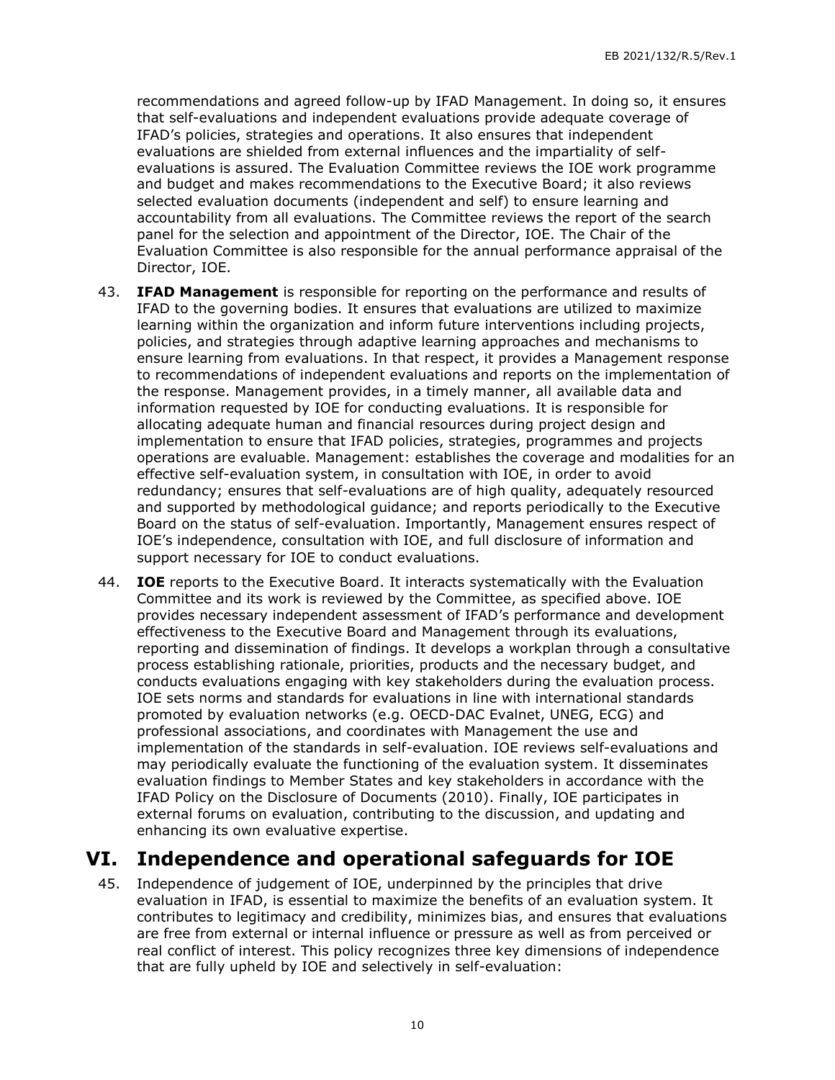recommendations and agreed follow-up by IFAD Management. In doing so, it ensures that self-evaluations and independent evaluations provide adequate coverage of IFAD's policies, strategies and operations. It also ensures that independent evaluations are shielded from external influences and the impartiality of selfevaluations is assured. The Evaluation Committee reviews the IOE work programme and budget and makes recommendations to the Executive Board; it also reviews selected evaluation documents (independent and self) to ensure learning and accountability from all evaluations. The Committee reviews the report of the search panel for the selection and appointment of the Director, IOE. The Chair of the Evaluation Committee is also responsible for the annual performance appraisal of the Director, IOE.

- 43. **IFAD Management** is responsible for reporting on the performance and results of IFAD to the governing bodies. It ensures that evaluations are utilized to maximize learning within the organization and inform future interventions including projects, policies, and strategies through adaptive learning approaches and mechanisms to ensure learning from evaluations. In that respect, it provides a Management response to recommendations of independent evaluations and reports on the implementation of the response. Management provides, in a timely manner, all available data and information requested by IOE for conducting evaluations. It is responsible for allocating adequate human and financial resources during project design and implementation to ensure that IFAD policies, strategies, programmes and projects operations are evaluable. Management: establishes the coverage and modalities for an effective self-evaluation system, in consultation with IOE, in order to avoid redundancy; ensures that self-evaluations are of high quality, adequately resourced and supported by methodological guidance; and reports periodically to the Executive Board on the status of self-evaluation. Importantly, Management ensures respect of IOE's independence, consultation with IOE, and full disclosure of information and support necessary for IOE to conduct evaluations.
- 44. **IOE** reports to the Executive Board. It interacts systematically with the Evaluation Committee and its work is reviewed by the Committee, as specified above. IOE provides necessary independent assessment of IFAD's performance and development effectiveness to the Executive Board and Management through its evaluations, reporting and dissemination of findings. It develops a workplan through a consultative process establishing rationale, priorities, products and the necessary budget, and conducts evaluations engaging with key stakeholders during the evaluation process. IOE sets norms and standards for evaluations in line with international standards promoted by evaluation networks (e.g. OECD-DAC Evalnet, UNEG, ECG) and professional associations, and coordinates with Management the use and implementation of the standards in self-evaluation. IOE reviews self-evaluations and may periodically evaluate the functioning of the evaluation system. It disseminates evaluation findings to Member States and key stakeholders in accordance with the IFAD Policy on the Disclosure of Documents (2010). Finally, IOE participates in external forums on evaluation, contributing to the discussion, and updating and enhancing its own evaluative expertise.

## **VI. Independence and operational safeguards for IOE**

<span id="page-12-0"></span>45. Independence of judgement of IOE, underpinned by the principles that drive evaluation in IFAD, is essential to maximize the benefits of an evaluation system. It contributes to legitimacy and credibility, minimizes bias, and ensures that evaluations are free from external or internal influence or pressure as well as from perceived or real conflict of interest. This policy recognizes three key dimensions of independence that are fully upheld by IOE and selectively in self-evaluation: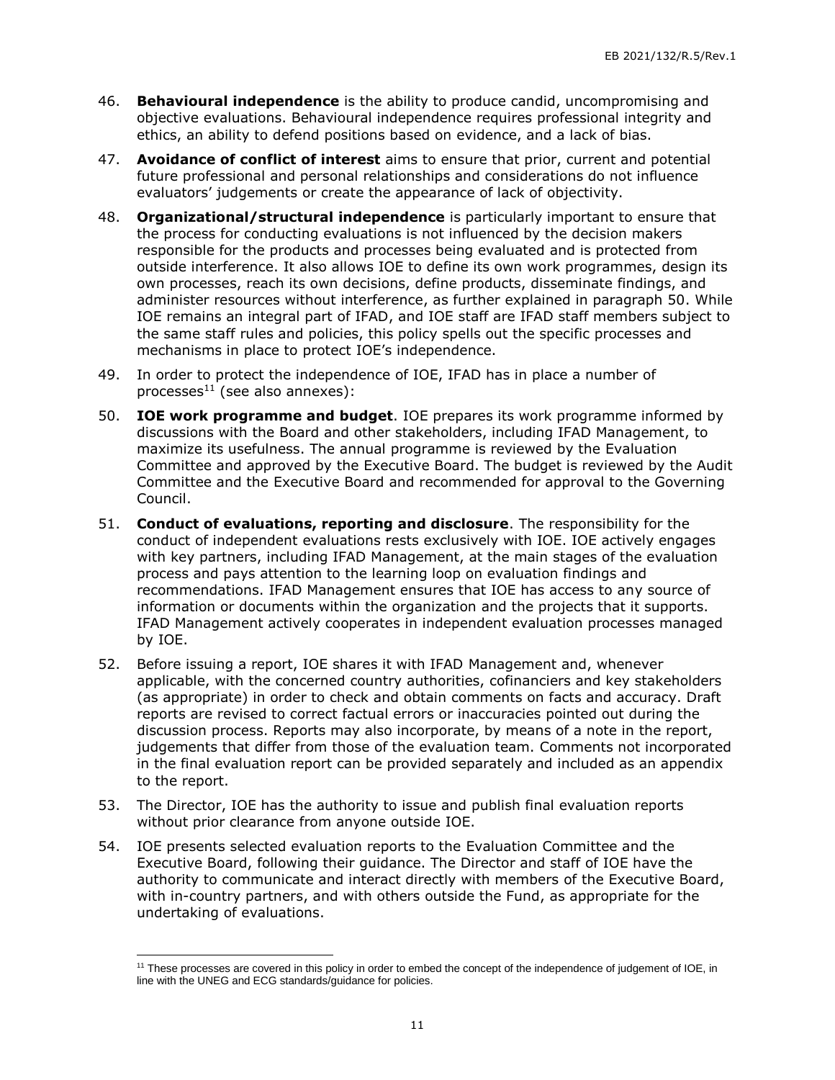- 46. **Behavioural independence** is the ability to produce candid, uncompromising and objective evaluations. Behavioural independence requires professional integrity and ethics, an ability to defend positions based on evidence, and a lack of bias.
- 47. **Avoidance of conflict of interest** aims to ensure that prior, current and potential future professional and personal relationships and considerations do not influence evaluators' judgements or create the appearance of lack of objectivity.
- 48. **Organizational/structural independence** is particularly important to ensure that the process for conducting evaluations is not influenced by the decision makers responsible for the products and processes being evaluated and is protected from outside interference. It also allows IOE to define its own work programmes, design its own processes, reach its own decisions, define products, disseminate findings, and administer resources without interference, as further explained in paragraph 50. While IOE remains an integral part of IFAD, and IOE staff are IFAD staff members subject to the same staff rules and policies, this policy spells out the specific processes and mechanisms in place to protect IOE's independence.
- 49. In order to protect the independence of IOE, IFAD has in place a number of processes $11$  (see also annexes):
- 50. **IOE work programme and budget**. IOE prepares its work programme informed by discussions with the Board and other stakeholders, including IFAD Management, to maximize its usefulness. The annual programme is reviewed by the Evaluation Committee and approved by the Executive Board. The budget is reviewed by the Audit Committee and the Executive Board and recommended for approval to the Governing Council.
- 51. **Conduct of evaluations, reporting and disclosure**. The responsibility for the conduct of independent evaluations rests exclusively with IOE. IOE actively engages with key partners, including IFAD Management, at the main stages of the evaluation process and pays attention to the learning loop on evaluation findings and recommendations. IFAD Management ensures that IOE has access to any source of information or documents within the organization and the projects that it supports. IFAD Management actively cooperates in independent evaluation processes managed by IOE.
- 52. Before issuing a report, IOE shares it with IFAD Management and, whenever applicable, with the concerned country authorities, cofinanciers and key stakeholders (as appropriate) in order to check and obtain comments on facts and accuracy. Draft reports are revised to correct factual errors or inaccuracies pointed out during the discussion process. Reports may also incorporate, by means of a note in the report, judgements that differ from those of the evaluation team. Comments not incorporated in the final evaluation report can be provided separately and included as an appendix to the report.
- 53. The Director, IOE has the authority to issue and publish final evaluation reports without prior clearance from anyone outside IOE.

54. IOE presents selected evaluation reports to the Evaluation Committee and the Executive Board, following their guidance. The Director and staff of IOE have the authority to communicate and interact directly with members of the Executive Board, with in-country partners, and with others outside the Fund, as appropriate for the undertaking of evaluations.

<sup>11</sup> These processes are covered in this policy in order to embed the concept of the independence of judgement of IOE, in line with the UNEG and ECG standards/guidance for policies.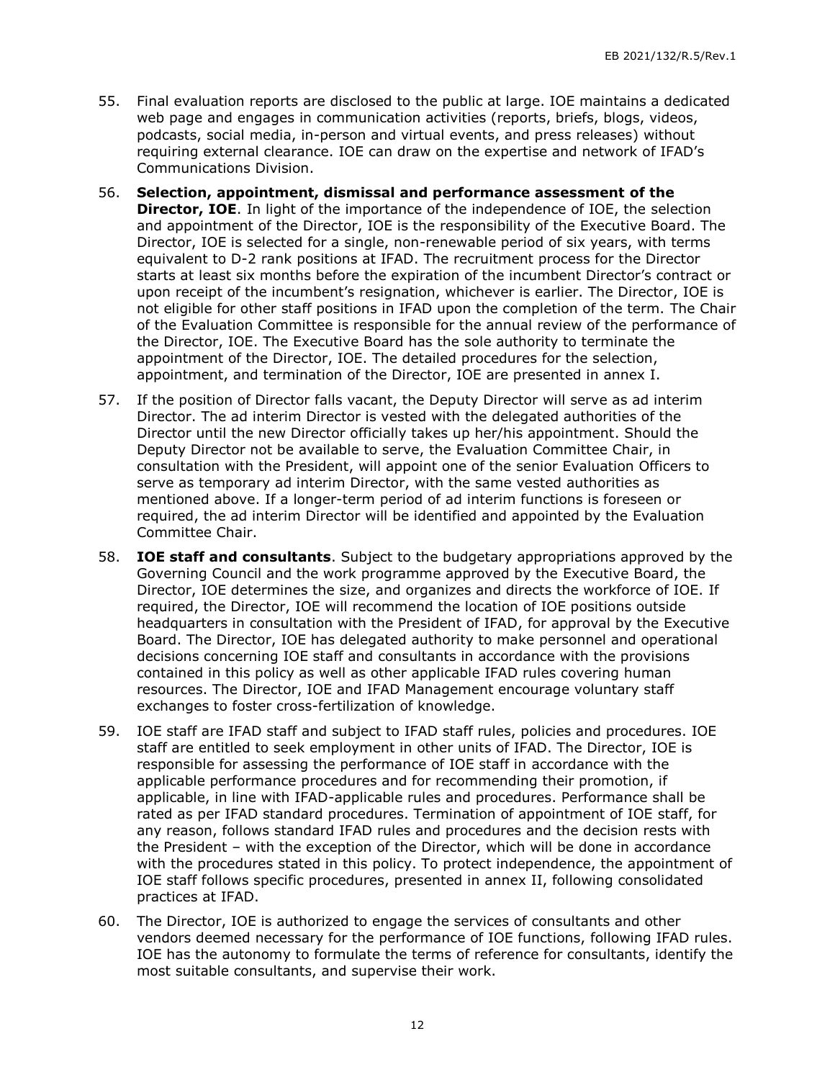- 55. Final evaluation reports are disclosed to the public at large. IOE maintains a dedicated web page and engages in communication activities (reports, briefs, blogs, videos, podcasts, social media, in-person and virtual events, and press releases) without requiring external clearance. IOE can draw on the expertise and network of IFAD's Communications Division.
- 56. **Selection, appointment, dismissal and performance assessment of the Director, IOE**. In light of the importance of the independence of IOE, the selection and appointment of the Director, IOE is the responsibility of the Executive Board. The Director, IOE is selected for a single, non-renewable period of six years, with terms equivalent to D-2 rank positions at IFAD. The recruitment process for the Director starts at least six months before the expiration of the incumbent Director's contract or upon receipt of the incumbent's resignation, whichever is earlier. The Director, IOE is not eligible for other staff positions in IFAD upon the completion of the term. The Chair of the Evaluation Committee is responsible for the annual review of the performance of the Director, IOE. The Executive Board has the sole authority to terminate the appointment of the Director, IOE. The detailed procedures for the selection, appointment, and termination of the Director, IOE are presented in annex I.
- 57. If the position of Director falls vacant, the Deputy Director will serve as ad interim Director. The ad interim Director is vested with the delegated authorities of the Director until the new Director officially takes up her/his appointment. Should the Deputy Director not be available to serve, the Evaluation Committee Chair, in consultation with the President, will appoint one of the senior Evaluation Officers to serve as temporary ad interim Director, with the same vested authorities as mentioned above. If a longer-term period of ad interim functions is foreseen or required, the ad interim Director will be identified and appointed by the Evaluation Committee Chair.
- 58. **IOE staff and consultants**. Subject to the budgetary appropriations approved by the Governing Council and the work programme approved by the Executive Board, the Director, IOE determines the size, and organizes and directs the workforce of IOE. If required, the Director, IOE will recommend the location of IOE positions outside headquarters in consultation with the President of IFAD, for approval by the Executive Board. The Director, IOE has delegated authority to make personnel and operational decisions concerning IOE staff and consultants in accordance with the provisions contained in this policy as well as other applicable IFAD rules covering human resources. The Director, IOE and IFAD Management encourage voluntary staff exchanges to foster cross-fertilization of knowledge.
- 59. IOE staff are IFAD staff and subject to IFAD staff rules, policies and procedures. IOE staff are entitled to seek employment in other units of IFAD. The Director, IOE is responsible for assessing the performance of IOE staff in accordance with the applicable performance procedures and for recommending their promotion, if applicable, in line with IFAD-applicable rules and procedures. Performance shall be rated as per IFAD standard procedures. Termination of appointment of IOE staff, for any reason, follows standard IFAD rules and procedures and the decision rests with the President – with the exception of the Director, which will be done in accordance with the procedures stated in this policy. To protect independence, the appointment of IOE staff follows specific procedures, presented in annex II, following consolidated practices at IFAD.
- 60. The Director, IOE is authorized to engage the services of consultants and other vendors deemed necessary for the performance of IOE functions, following IFAD rules. IOE has the autonomy to formulate the terms of reference for consultants, identify the most suitable consultants, and supervise their work.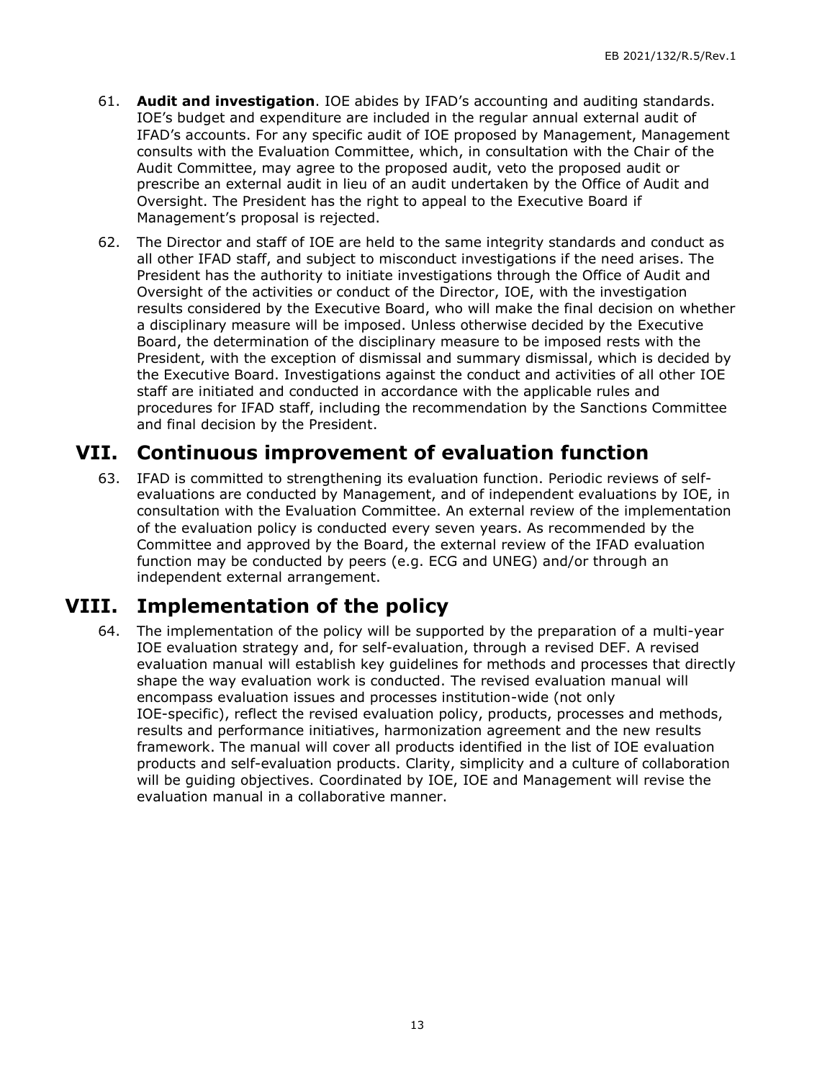- 61. **Audit and investigation**. IOE abides by IFAD's accounting and auditing standards. IOE's budget and expenditure are included in the regular annual external audit of IFAD's accounts. For any specific audit of IOE proposed by Management, Management consults with the Evaluation Committee, which, in consultation with the Chair of the Audit Committee, may agree to the proposed audit, veto the proposed audit or prescribe an external audit in lieu of an audit undertaken by the Office of Audit and Oversight. The President has the right to appeal to the Executive Board if Management's proposal is rejected.
- 62. The Director and staff of IOE are held to the same integrity standards and conduct as all other IFAD staff, and subject to misconduct investigations if the need arises. The President has the authority to initiate investigations through the Office of Audit and Oversight of the activities or conduct of the Director, IOE, with the investigation results considered by the Executive Board, who will make the final decision on whether a disciplinary measure will be imposed. Unless otherwise decided by the Executive Board, the determination of the disciplinary measure to be imposed rests with the President, with the exception of dismissal and summary dismissal, which is decided by the Executive Board. Investigations against the conduct and activities of all other IOE staff are initiated and conducted in accordance with the applicable rules and procedures for IFAD staff, including the recommendation by the Sanctions Committee and final decision by the President.

## **VII. Continuous improvement of evaluation function**

<span id="page-15-0"></span>63. IFAD is committed to strengthening its evaluation function. Periodic reviews of selfevaluations are conducted by Management, and of independent evaluations by IOE, in consultation with the Evaluation Committee. An external review of the implementation of the evaluation policy is conducted every seven years. As recommended by the Committee and approved by the Board, the external review of the IFAD evaluation function may be conducted by peers (e.g. ECG and UNEG) and/or through an independent external arrangement.

## **VIII. Implementation of the policy**

<span id="page-15-1"></span>64. The implementation of the policy will be supported by the preparation of a multi-year IOE evaluation strategy and, for self-evaluation, through a revised DEF. A revised evaluation manual will establish key guidelines for methods and processes that directly shape the way evaluation work is conducted. The revised evaluation manual will encompass evaluation issues and processes institution-wide (not only IOE-specific), reflect the revised evaluation policy, products, processes and methods, results and performance initiatives, harmonization agreement and the new results framework. The manual will cover all products identified in the list of IOE evaluation products and self-evaluation products. Clarity, simplicity and a culture of collaboration will be guiding objectives. Coordinated by IOE, IOE and Management will revise the evaluation manual in a collaborative manner.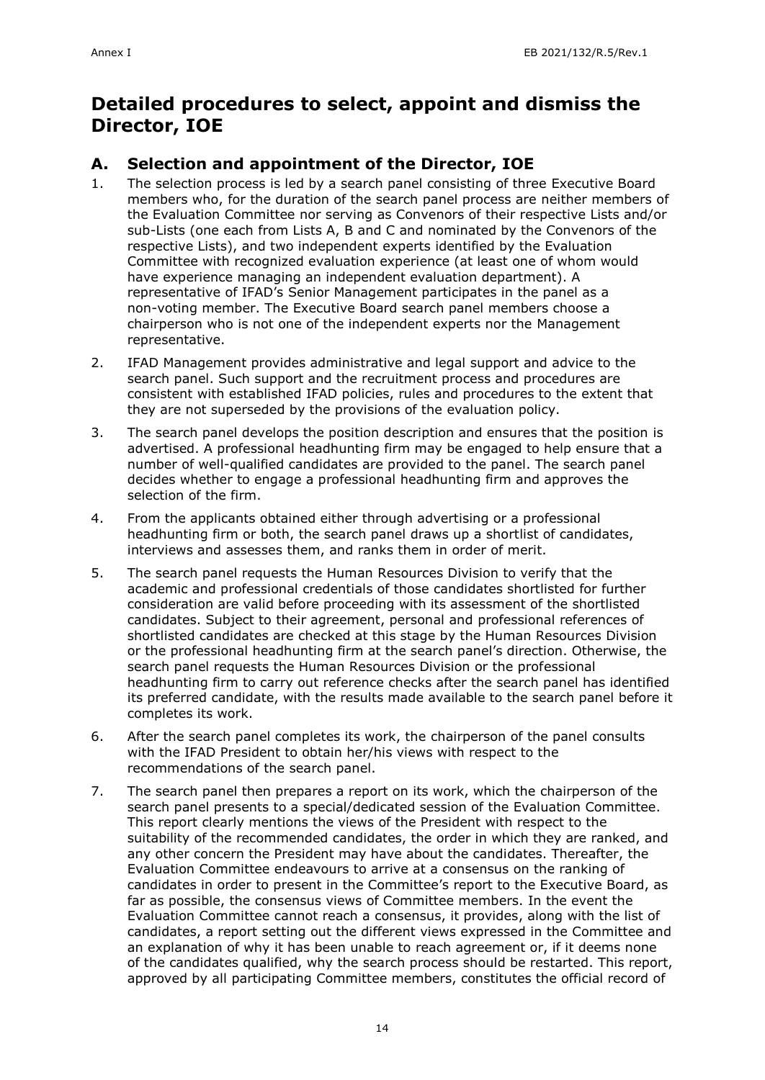# **Detailed procedures to select, appoint and dismiss the Director, IOE**

## **A. Selection and appointment of the Director, IOE**

- 1. The selection process is led by a search panel consisting of three Executive Board members who, for the duration of the search panel process are neither members of the Evaluation Committee nor serving as Convenors of their respective Lists and/or sub-Lists (one each from Lists A, B and C and nominated by the Convenors of the respective Lists), and two independent experts identified by the Evaluation Committee with recognized evaluation experience (at least one of whom would have experience managing an independent evaluation department). A representative of IFAD's Senior Management participates in the panel as a non-voting member. The Executive Board search panel members choose a chairperson who is not one of the independent experts nor the Management representative.
- 2. IFAD Management provides administrative and legal support and advice to the search panel. Such support and the recruitment process and procedures are consistent with established IFAD policies, rules and procedures to the extent that they are not superseded by the provisions of the evaluation policy.
- 3. The search panel develops the position description and ensures that the position is advertised. A professional headhunting firm may be engaged to help ensure that a number of well-qualified candidates are provided to the panel. The search panel decides whether to engage a professional headhunting firm and approves the selection of the firm.
- 4. From the applicants obtained either through advertising or a professional headhunting firm or both, the search panel draws up a shortlist of candidates, interviews and assesses them, and ranks them in order of merit.
- 5. The search panel requests the Human Resources Division to verify that the academic and professional credentials of those candidates shortlisted for further consideration are valid before proceeding with its assessment of the shortlisted candidates. Subject to their agreement, personal and professional references of shortlisted candidates are checked at this stage by the Human Resources Division or the professional headhunting firm at the search panel's direction. Otherwise, the search panel requests the Human Resources Division or the professional headhunting firm to carry out reference checks after the search panel has identified its preferred candidate, with the results made available to the search panel before it completes its work.
- 6. After the search panel completes its work, the chairperson of the panel consults with the IFAD President to obtain her/his views with respect to the recommendations of the search panel.
- 7. The search panel then prepares a report on its work, which the chairperson of the search panel presents to a special/dedicated session of the Evaluation Committee. This report clearly mentions the views of the President with respect to the suitability of the recommended candidates, the order in which they are ranked, and any other concern the President may have about the candidates. Thereafter, the Evaluation Committee endeavours to arrive at a consensus on the ranking of candidates in order to present in the Committee's report to the Executive Board, as far as possible, the consensus views of Committee members. In the event the Evaluation Committee cannot reach a consensus, it provides, along with the list of candidates, a report setting out the different views expressed in the Committee and an explanation of why it has been unable to reach agreement or, if it deems none of the candidates qualified, why the search process should be restarted. This report, approved by all participating Committee members, constitutes the official record of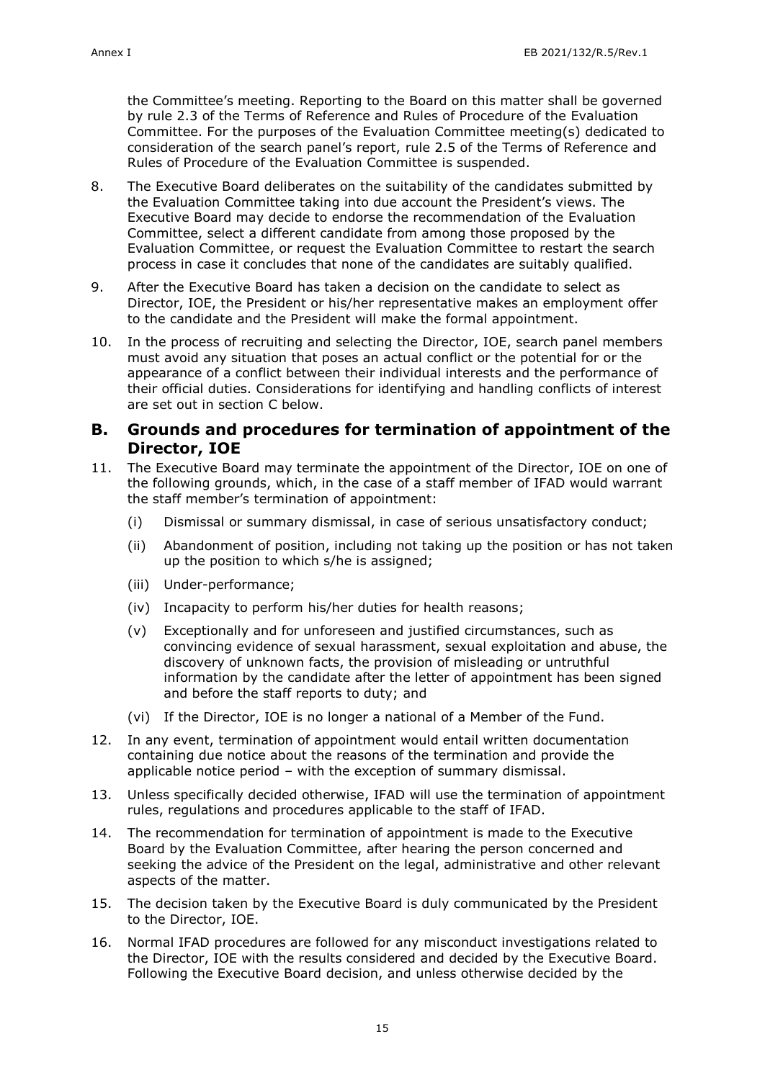the Committee's meeting. Reporting to the Board on this matter shall be governed by rule 2.3 of the Terms of Reference and Rules of Procedure of the Evaluation Committee. For the purposes of the Evaluation Committee meeting(s) dedicated to consideration of the search panel's report, rule 2.5 of the Terms of Reference and Rules of Procedure of the Evaluation Committee is suspended.

- 8. The Executive Board deliberates on the suitability of the candidates submitted by the Evaluation Committee taking into due account the President's views. The Executive Board may decide to endorse the recommendation of the Evaluation Committee, select a different candidate from among those proposed by the Evaluation Committee, or request the Evaluation Committee to restart the search process in case it concludes that none of the candidates are suitably qualified.
- 9. After the Executive Board has taken a decision on the candidate to select as Director, IOE, the President or his/her representative makes an employment offer to the candidate and the President will make the formal appointment.
- 10. In the process of recruiting and selecting the Director, IOE, search panel members must avoid any situation that poses an actual conflict or the potential for or the appearance of a conflict between their individual interests and the performance of their official duties. Considerations for identifying and handling conflicts of interest are set out in section C below.

#### **B. Grounds and procedures for termination of appointment of the Director, IOE**

- 11. The Executive Board may terminate the appointment of the Director, IOE on one of the following grounds, which, in the case of a staff member of IFAD would warrant the staff member's termination of appointment:
	- (i) Dismissal or summary dismissal, in case of serious unsatisfactory conduct;
	- (ii) Abandonment of position, including not taking up the position or has not taken up the position to which s/he is assigned;
	- (iii) Under-performance;
	- (iv) Incapacity to perform his/her duties for health reasons;
	- (v) Exceptionally and for unforeseen and justified circumstances, such as convincing evidence of sexual harassment, sexual exploitation and abuse, the discovery of unknown facts, the provision of misleading or untruthful information by the candidate after the letter of appointment has been signed and before the staff reports to duty; and
	- (vi) If the Director, IOE is no longer a national of a Member of the Fund.
- 12. In any event, termination of appointment would entail written documentation containing due notice about the reasons of the termination and provide the applicable notice period – with the exception of summary dismissal.
- 13. Unless specifically decided otherwise, IFAD will use the termination of appointment rules, regulations and procedures applicable to the staff of IFAD.
- 14. The recommendation for termination of appointment is made to the Executive Board by the Evaluation Committee, after hearing the person concerned and seeking the advice of the President on the legal, administrative and other relevant aspects of the matter.
- 15. The decision taken by the Executive Board is duly communicated by the President to the Director, IOE.
- 16. Normal IFAD procedures are followed for any misconduct investigations related to the Director, IOE with the results considered and decided by the Executive Board. Following the Executive Board decision, and unless otherwise decided by the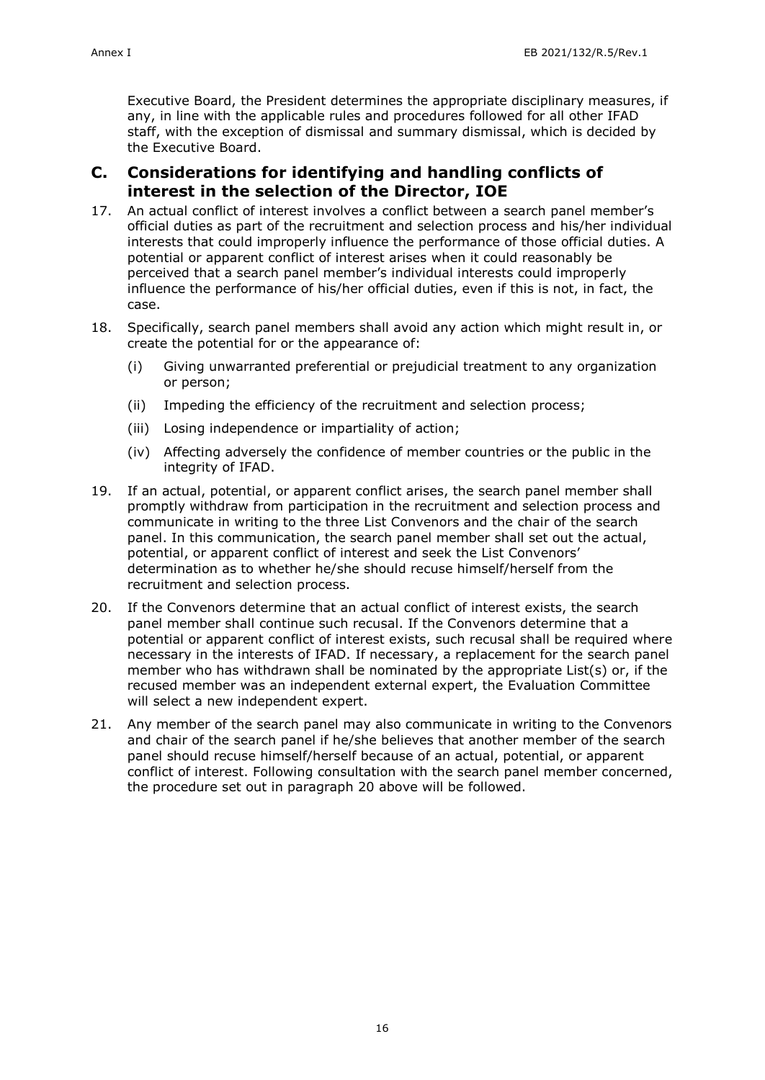Executive Board, the President determines the appropriate disciplinary measures, if any, in line with the applicable rules and procedures followed for all other IFAD staff, with the exception of dismissal and summary dismissal, which is decided by the Executive Board.

#### **C. Considerations for identifying and handling conflicts of interest in the selection of the Director, IOE**

- 17. An actual conflict of interest involves a conflict between a search panel member's official duties as part of the recruitment and selection process and his/her individual interests that could improperly influence the performance of those official duties. A potential or apparent conflict of interest arises when it could reasonably be perceived that a search panel member's individual interests could improperly influence the performance of his/her official duties, even if this is not, in fact, the case.
- 18. Specifically, search panel members shall avoid any action which might result in, or create the potential for or the appearance of:
	- (i) Giving unwarranted preferential or prejudicial treatment to any organization or person;
	- (ii) Impeding the efficiency of the recruitment and selection process;
	- (iii) Losing independence or impartiality of action;
	- (iv) Affecting adversely the confidence of member countries or the public in the integrity of IFAD.
- 19. If an actual, potential, or apparent conflict arises, the search panel member shall promptly withdraw from participation in the recruitment and selection process and communicate in writing to the three List Convenors and the chair of the search panel. In this communication, the search panel member shall set out the actual, potential, or apparent conflict of interest and seek the List Convenors' determination as to whether he/she should recuse himself/herself from the recruitment and selection process.
- 20. If the Convenors determine that an actual conflict of interest exists, the search panel member shall continue such recusal. If the Convenors determine that a potential or apparent conflict of interest exists, such recusal shall be required where necessary in the interests of IFAD. If necessary, a replacement for the search panel member who has withdrawn shall be nominated by the appropriate List(s) or, if the recused member was an independent external expert, the Evaluation Committee will select a new independent expert.
- 21. Any member of the search panel may also communicate in writing to the Convenors and chair of the search panel if he/she believes that another member of the search panel should recuse himself/herself because of an actual, potential, or apparent conflict of interest. Following consultation with the search panel member concerned, the procedure set out in paragraph 20 above will be followed.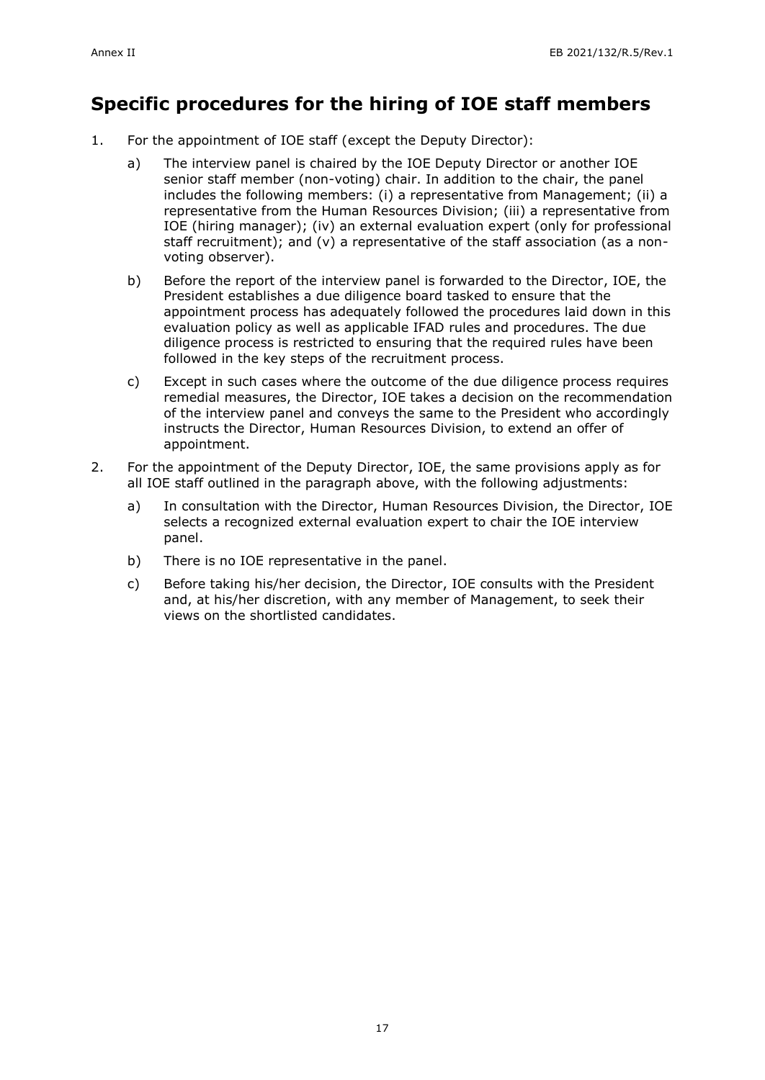## **Specific procedures for the hiring of IOE staff members**

- 1. For the appointment of IOE staff (except the Deputy Director):
	- a) The interview panel is chaired by the IOE Deputy Director or another IOE senior staff member (non-voting) chair. In addition to the chair, the panel includes the following members: (i) a representative from Management; (ii) a representative from the Human Resources Division; (iii) a representative from IOE (hiring manager); (iv) an external evaluation expert (only for professional staff recruitment); and (v) a representative of the staff association (as a nonvoting observer).
	- b) Before the report of the interview panel is forwarded to the Director, IOE, the President establishes a due diligence board tasked to ensure that the appointment process has adequately followed the procedures laid down in this evaluation policy as well as applicable IFAD rules and procedures. The due diligence process is restricted to ensuring that the required rules have been followed in the key steps of the recruitment process.
	- c) Except in such cases where the outcome of the due diligence process requires remedial measures, the Director, IOE takes a decision on the recommendation of the interview panel and conveys the same to the President who accordingly instructs the Director, Human Resources Division, to extend an offer of appointment.
- 2. For the appointment of the Deputy Director, IOE, the same provisions apply as for all IOE staff outlined in the paragraph above, with the following adjustments:
	- a) In consultation with the Director, Human Resources Division, the Director, IOE selects a recognized external evaluation expert to chair the IOE interview panel.
	- b) There is no IOE representative in the panel.
	- c) Before taking his/her decision, the Director, IOE consults with the President and, at his/her discretion, with any member of Management, to seek their views on the shortlisted candidates.